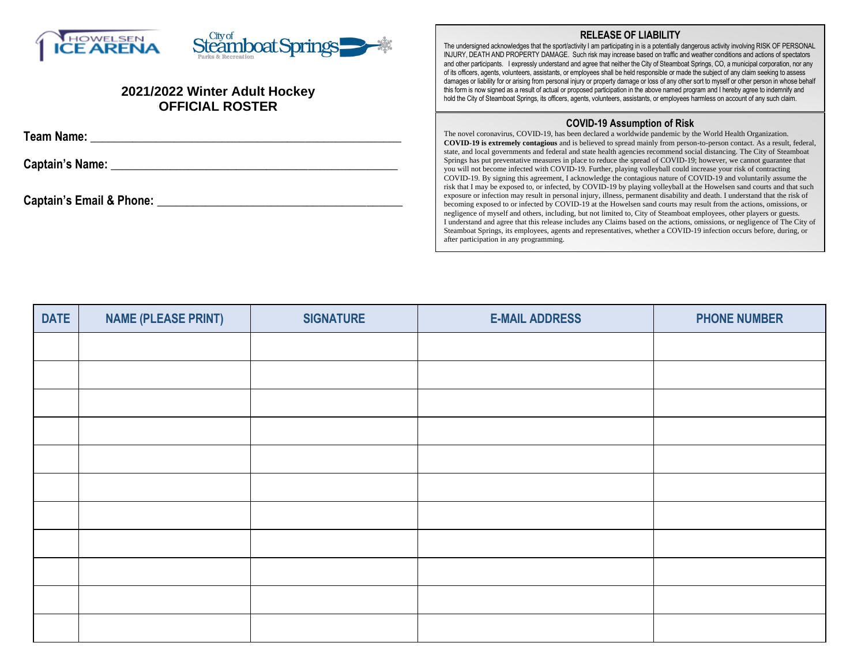| Steamboat Springs - *<br><b>Y</b> HOWELSEN<br><b>ICE ARENA</b><br>2021/2022 Winter Adult Hockey<br><b>OFFICIAL ROSTER</b> | <b>RELEASE OF LIABILITY</b><br>The undersigned acknowledges that the sport/activity I am participating in is a potentially dangerous activity involving RISK OF PERSONAL<br>INJURY, DEATH AND PROPERTY DAMAGE. Such risk may increase based on traffic and weather conditions and actions of spectators<br>and other participants. I expressly understand and agree that neither the City of Steamboat Springs, CO, a municipal corporation, nor any<br>of its officers, agents, volunteers, assistants, or employees shall be held responsible or made the subject of any claim seeking to assess<br>damages or liability for or arising from personal injury or property damage or loss of any other sort to myself or other person in whose behalf<br>this form is now signed as a result of actual or proposed participation in the above named program and I hereby agree to indemnify and<br>hold the City of Steamboat Springs, its officers, agents, volunteers, assistants, or employees harmless on account of any such claim.     |  |
|---------------------------------------------------------------------------------------------------------------------------|----------------------------------------------------------------------------------------------------------------------------------------------------------------------------------------------------------------------------------------------------------------------------------------------------------------------------------------------------------------------------------------------------------------------------------------------------------------------------------------------------------------------------------------------------------------------------------------------------------------------------------------------------------------------------------------------------------------------------------------------------------------------------------------------------------------------------------------------------------------------------------------------------------------------------------------------------------------------------------------------------------------------------------------------|--|
| Team Name:<br><b>Captain's Name:</b>                                                                                      | <b>COVID-19 Assumption of Risk</b><br>The novel coronavirus, COVID-19, has been declared a worldwide pandemic by the World Health Organization.<br><b>COVID-19 is extremely contagious</b> and is believed to spread mainly from person-to-person contact. As a result, federal,<br>state, and local governments and federal and state health agencies recommend social distancing. The City of Steamboat<br>Springs has put preventative measures in place to reduce the spread of COVID-19; however, we cannot guarantee that                                                                                                                                                                                                                                                                                                                                                                                                                                                                                                              |  |
| Captain's Email & Phone:                                                                                                  | you will not become infected with COVID-19. Further, playing volleyball could increase your risk of contracting<br>COVID-19. By signing this agreement, I acknowledge the contagious nature of COVID-19 and voluntarily assume the<br>risk that I may be exposed to, or infected, by COVID-19 by playing volleyball at the Howelsen sand courts and that such<br>exposure or infection may result in personal injury, illness, permanent disability and death. I understand that the risk of<br>becoming exposed to or infected by COVID-19 at the Howelsen sand courts may result from the actions, omissions, or<br>negligence of myself and others, including, but not limited to, City of Steamboat employees, other players or guests.<br>I understand and agree that this release includes any Claims based on the actions, omissions, or negligence of The City of<br>Steamboat Springs, its employees, agents and representatives, whether a COVID-19 infection occurs before, during, or<br>after participation in any programming. |  |

| <b>DATE</b> | <b>NAME (PLEASE PRINT)</b> | <b>SIGNATURE</b> | <b>E-MAIL ADDRESS</b> | <b>PHONE NUMBER</b> |
|-------------|----------------------------|------------------|-----------------------|---------------------|
|             |                            |                  |                       |                     |
|             |                            |                  |                       |                     |
|             |                            |                  |                       |                     |
|             |                            |                  |                       |                     |
|             |                            |                  |                       |                     |
|             |                            |                  |                       |                     |
|             |                            |                  |                       |                     |
|             |                            |                  |                       |                     |
|             |                            |                  |                       |                     |
|             |                            |                  |                       |                     |
|             |                            |                  |                       |                     |